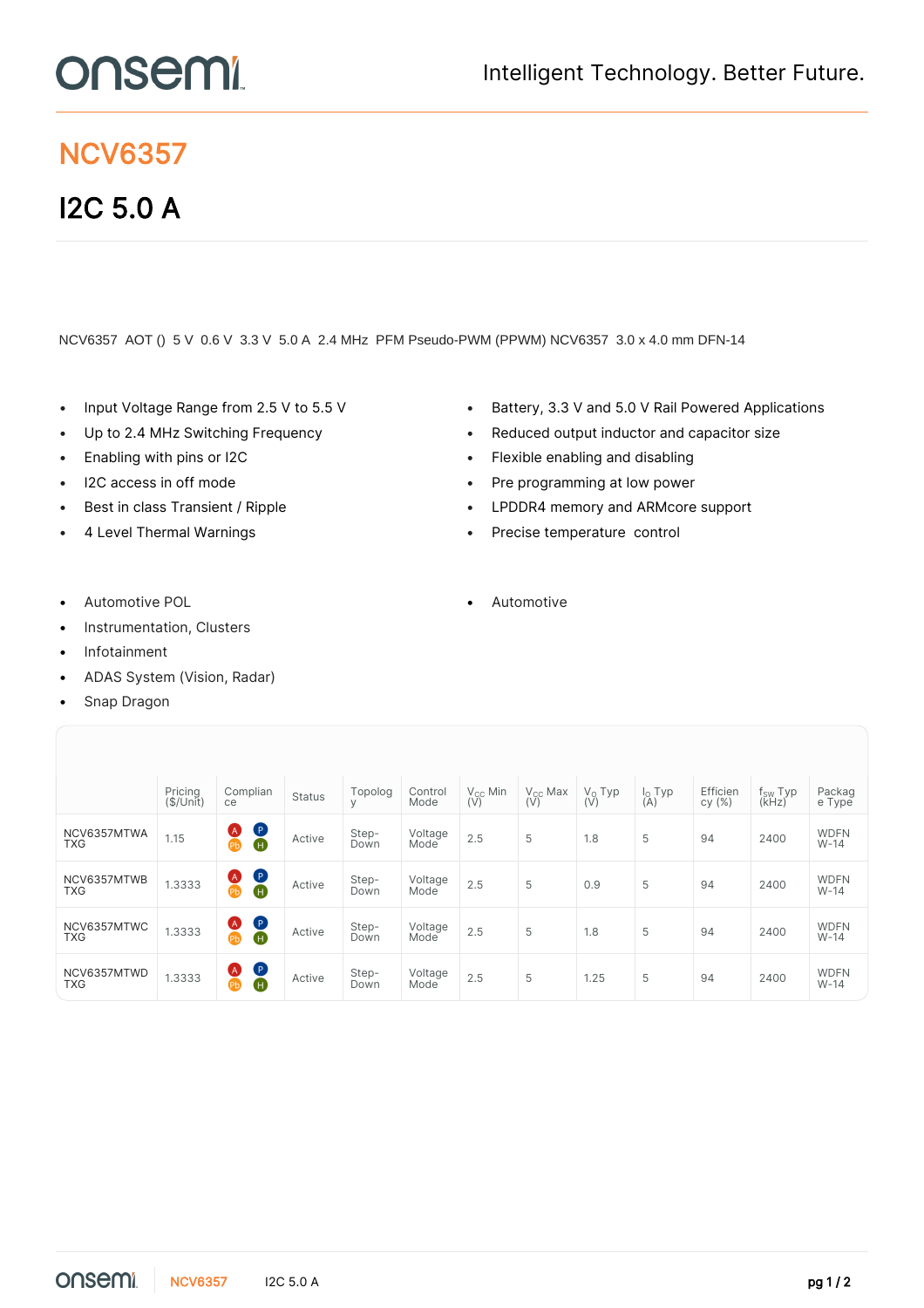## onsem

## NCV6357

## I2C 5.0 A

## NCV6357 AOT () 5 V 0.6 V 3.3 V 5.0 A 2.4 MHz PFM Pseudo-PWM (PPWM) NCV6357 3.0 x 4.0 mm DFN-14

- 
- 
- 
- 
- 
- 
- Input Voltage Range from 2.5 V to 5.5 V Battery, 3.3 V and 5.0 V Rail Powered Applications
- Up to 2.4 MHz Switching Frequency **•** Reduced output inductor and capacitor size
- Enabling with pins or I2C  **Flexible enabling and disabling** 
	- I2C access in off mode **Fig. 20 •** Pre programming at low power
	- Best in class Transient / Ripple LPDDR4 memory and ARMcore support
	- 4 Level Thermal Warnings **•** Precise temperature control
- 
- Instrumentation, Clusters
- **Infotainment**
- ADAS System (Vision, Radar)
- Snap Dragon

|                           | Pricing<br>(\$/Unit) | Complian<br>ce                                   | <b>Status</b> | Topolog<br>V  | Control<br>Mode | $V_{CC}$ Min<br>(V) | $V_{CC}$ Max<br>(V) | $V_0$ Typ<br>$(\overline{V})$ | $\begin{array}{c} I_{\text{O}}$ Typ $(A)$ | Efficien<br>cy(%) | $f_{SW}$ Typ<br>(KHz) | Packag<br>e Type      |
|---------------------------|----------------------|--------------------------------------------------|---------------|---------------|-----------------|---------------------|---------------------|-------------------------------|-------------------------------------------|-------------------|-----------------------|-----------------------|
| NCV6357MTWA<br><b>TXG</b> | 1.15                 | $\bullet$<br>Ø<br>$\tilde{\bm{\Phi}}$            | Active        | Step-<br>Down | Voltage<br>Mode | 2.5                 | 5                   | 1.8                           | 5                                         | 94                | 2400                  | <b>WDFN</b><br>$W-14$ |
| NCV6357MTWB<br><b>TXG</b> | 1.3333               | $\bullet$<br><b>A</b><br>Pb                      | Active        | Step-<br>Down | Voltage<br>Mode | 2.5                 | 5                   | 0.9                           | 5                                         | 94                | 2400                  | <b>WDFN</b><br>$W-14$ |
| NCV6357MTWC<br><b>TXG</b> | 1.3333               | $\bullet$<br><b>A</b><br>Pb                      | Active        | Step-<br>Down | Voltage<br>Mode | 2.5                 | 5                   | 1.8                           | 5                                         | 94                | 2400                  | <b>WDFN</b><br>$W-14$ |
| NCV6357MTWD<br><b>TXG</b> | 1.3333               | $\bullet$<br><b>A</b><br>$\overline{\mathbf{a}}$ | Active        | Step-<br>Down | Voltage<br>Mode | 2.5                 | 5                   | 1.25                          | 5                                         | 94                | 2400                  | <b>WDFN</b><br>$W-14$ |

Automotive POL **Automotive POL •** Automotive